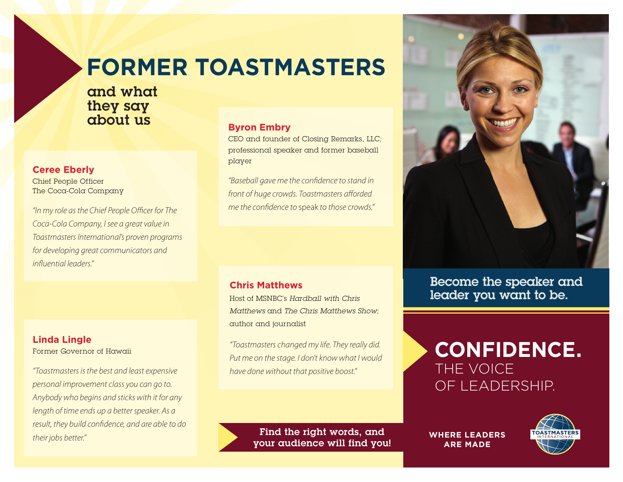## **FORMER TOASTMASTERS**

and what they say about us

#### **Ceree Eberly**

Chief People Officer The Coca-Cola Company

"In my role as the Chief People Officer for The Coca-Cola Company, I see a great value in Toastmasters International's proven programs for developing great communicators and influential leaders."

#### **Linda Lingle**

Former Governor of Hawaii

"Toastmasters is the best and least expensive personal improvement class you can go to. Anybody who begins and sticks with it for any length of time ends up a better speaker. As a result, they build confidence, and are able to do their jobs better."

#### **Byron Embry**

CEO and founder of Closing Remarks, LLC; professional speaker and former baseball player

"Baseball gave me the confidence to stand in front of huge crowds. Toastmasters afforded me the confidence to speak to those crowds."

#### **Chris Matthews**

Host of MSNBC's Hardball with Chris Matthews and The Chris Matthews Show; author and journalist

"Toastmasters changed my life. They really did. Put me on the stage. I don't know what I would have done without that positive boost."

> Find the right words, and your audience will find you!



Become the speaker and leader you want to be.

### **CONFIDENCE.** THE VOICE OF LEADERSHIP.

**WHERE LEADERS ARE MADE**